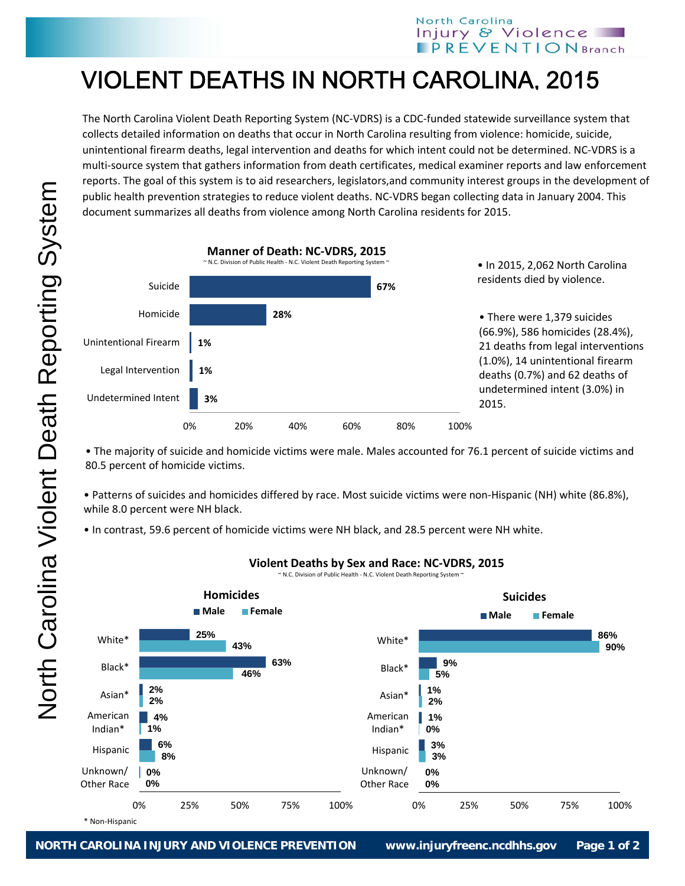## VIOLENT DEATHS IN NORTH CAROLINA, 2015

The North Carolina Violent Death Reporting System (NC‐VDRS) is a CDC‐funded statewide surveillance system that collects detailed information on deaths that occur in North Carolina resulting from violence: homicide, suicide, unintentional firearm deaths, legal intervention and deaths for which intent could not be determined. NC‐VDRS is a multi‐source system that gathers information from death certificates, medical examiner reports and law enforcement reports. The goal of this system is to aid researchers, legislators,and community interest groups in the development of public health prevention strategies to reduce violent deaths. NC‐VDRS began collecting data in January 2004. This document summarizes all deaths from violence among North Carolina residents for 2015.



• The majority of suicide and homicide victims were male. Males accounted for 76.1 percent of suicide victims and 80.5 percent of homicide victims.

• Patterns of suicides and homicides differed by race. Most suicide victims were non‐Hispanic (NH) white (86.8%), while 8.0 percent were NH black.

• In contrast, 59.6 percent of homicide victims were NH black, and 28.5 percent were NH white.



## **Violent Deaths by Sex and Race: NC‐VDRS, 2015**

~ N.C. Division of Public Health - N.C. Violent Death Reporting System ^